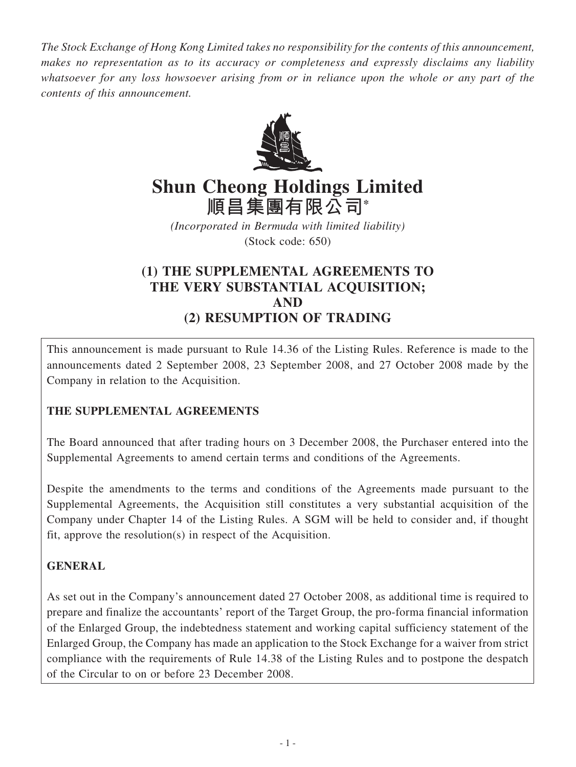*The Stock Exchange of Hong Kong Limited takes no responsibility for the contents of this announcement, makes no representation as to its accuracy or completeness and expressly disclaims any liability whatsoever for any loss howsoever arising from or in reliance upon the whole or any part of the contents of this announcement.*



# **Shun Cheong Holdings Limited 順昌集團有限公司\***

*(Incorporated in Bermuda with limited liability)* (Stock code: 650)

## **(1) THE SUPPLEMENTAL AGREEMENTS TO THE VERY SUBSTANTIAL ACQUISITION; AND (2) RESUMPTION OF TRADING**

This announcement is made pursuant to Rule 14.36 of the Listing Rules. Reference is made to the announcements dated 2 September 2008, 23 September 2008, and 27 October 2008 made by the Company in relation to the Acquisition.

## **THE SUPPLEMENTAL AGREEMENTS**

The Board announced that after trading hours on 3 December 2008, the Purchaser entered into the Supplemental Agreements to amend certain terms and conditions of the Agreements.

Despite the amendments to the terms and conditions of the Agreements made pursuant to the Supplemental Agreements, the Acquisition still constitutes a very substantial acquisition of the Company under Chapter 14 of the Listing Rules. A SGM will be held to consider and, if thought fit, approve the resolution(s) in respect of the Acquisition.

## **GENERAL**

As set out in the Company's announcement dated 27 October 2008, as additional time is required to prepare and finalize the accountants' report of the Target Group, the pro-forma financial information of the Enlarged Group, the indebtedness statement and working capital sufficiency statement of the Enlarged Group, the Company has made an application to the Stock Exchange for a waiver from strict compliance with the requirements of Rule 14.38 of the Listing Rules and to postpone the despatch of the Circular to on or before 23 December 2008.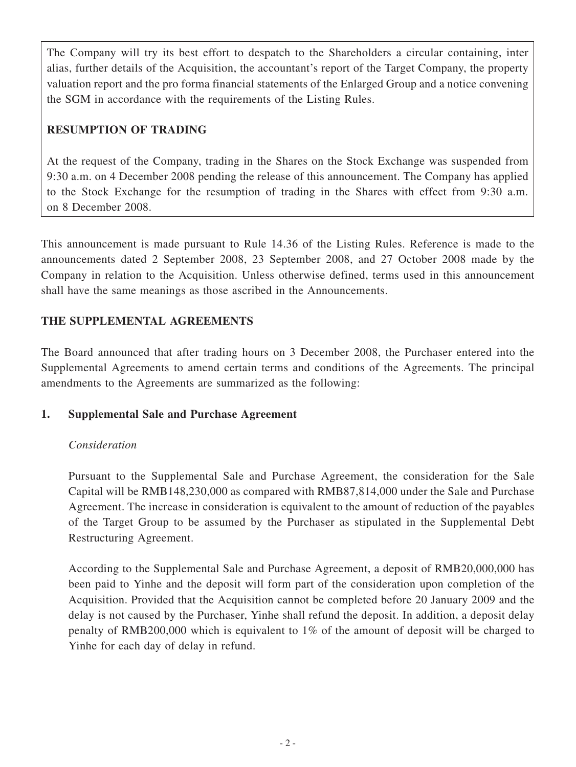The Company will try its best effort to despatch to the Shareholders a circular containing, inter alias, further details of the Acquisition, the accountant's report of the Target Company, the property valuation report and the pro forma financial statements of the Enlarged Group and a notice convening the SGM in accordance with the requirements of the Listing Rules.

## **RESUMPTION OF TRADING**

At the request of the Company, trading in the Shares on the Stock Exchange was suspended from 9:30 a.m. on 4 December 2008 pending the release of this announcement. The Company has applied to the Stock Exchange for the resumption of trading in the Shares with effect from 9:30 a.m. on 8 December 2008.

This announcement is made pursuant to Rule 14.36 of the Listing Rules. Reference is made to the announcements dated 2 September 2008, 23 September 2008, and 27 October 2008 made by the Company in relation to the Acquisition. Unless otherwise defined, terms used in this announcement shall have the same meanings as those ascribed in the Announcements.

## **THE SUPPLEMENTAL AGREEMENTS**

The Board announced that after trading hours on 3 December 2008, the Purchaser entered into the Supplemental Agreements to amend certain terms and conditions of the Agreements. The principal amendments to the Agreements are summarized as the following:

## **1. Supplemental Sale and Purchase Agreement**

## *Consideration*

Pursuant to the Supplemental Sale and Purchase Agreement, the consideration for the Sale Capital will be RMB148,230,000 as compared with RMB87,814,000 under the Sale and Purchase Agreement. The increase in consideration is equivalent to the amount of reduction of the payables of the Target Group to be assumed by the Purchaser as stipulated in the Supplemental Debt Restructuring Agreement.

According to the Supplemental Sale and Purchase Agreement, a deposit of RMB20,000,000 has been paid to Yinhe and the deposit will form part of the consideration upon completion of the Acquisition. Provided that the Acquisition cannot be completed before 20 January 2009 and the delay is not caused by the Purchaser, Yinhe shall refund the deposit. In addition, a deposit delay penalty of RMB200,000 which is equivalent to 1% of the amount of deposit will be charged to Yinhe for each day of delay in refund.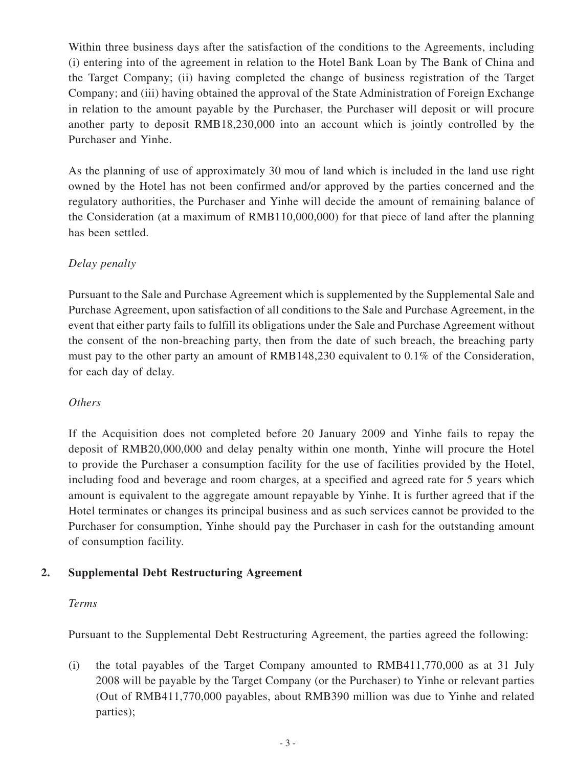Within three business days after the satisfaction of the conditions to the Agreements, including (i) entering into of the agreement in relation to the Hotel Bank Loan by The Bank of China and the Target Company; (ii) having completed the change of business registration of the Target Company; and (iii) having obtained the approval of the State Administration of Foreign Exchange in relation to the amount payable by the Purchaser, the Purchaser will deposit or will procure another party to deposit RMB18,230,000 into an account which is jointly controlled by the Purchaser and Yinhe.

As the planning of use of approximately 30 mou of land which is included in the land use right owned by the Hotel has not been confirmed and/or approved by the parties concerned and the regulatory authorities, the Purchaser and Yinhe will decide the amount of remaining balance of the Consideration (at a maximum of RMB110,000,000) for that piece of land after the planning has been settled.

## *Delay penalty*

Pursuant to the Sale and Purchase Agreement which is supplemented by the Supplemental Sale and Purchase Agreement, upon satisfaction of all conditions to the Sale and Purchase Agreement, in the event that either party fails to fulfill its obligations under the Sale and Purchase Agreement without the consent of the non-breaching party, then from the date of such breach, the breaching party must pay to the other party an amount of RMB148,230 equivalent to 0.1% of the Consideration, for each day of delay.

#### *Others*

If the Acquisition does not completed before 20 January 2009 and Yinhe fails to repay the deposit of RMB20,000,000 and delay penalty within one month, Yinhe will procure the Hotel to provide the Purchaser a consumption facility for the use of facilities provided by the Hotel, including food and beverage and room charges, at a specified and agreed rate for 5 years which amount is equivalent to the aggregate amount repayable by Yinhe. It is further agreed that if the Hotel terminates or changes its principal business and as such services cannot be provided to the Purchaser for consumption, Yinhe should pay the Purchaser in cash for the outstanding amount of consumption facility.

## **2. Supplemental Debt Restructuring Agreement**

#### *Terms*

Pursuant to the Supplemental Debt Restructuring Agreement, the parties agreed the following:

(i) the total payables of the Target Company amounted to RMB411,770,000 as at 31 July 2008 will be payable by the Target Company (or the Purchaser) to Yinhe or relevant parties (Out of RMB411,770,000 payables, about RMB390 million was due to Yinhe and related parties);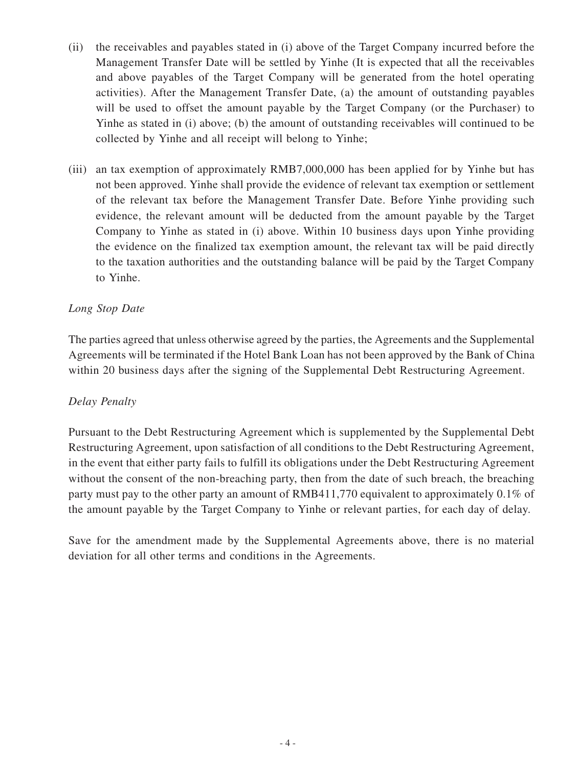- (ii) the receivables and payables stated in (i) above of the Target Company incurred before the Management Transfer Date will be settled by Yinhe (It is expected that all the receivables and above payables of the Target Company will be generated from the hotel operating activities). After the Management Transfer Date, (a) the amount of outstanding payables will be used to offset the amount payable by the Target Company (or the Purchaser) to Yinhe as stated in (i) above; (b) the amount of outstanding receivables will continued to be collected by Yinhe and all receipt will belong to Yinhe;
- (iii) an tax exemption of approximately RMB7,000,000 has been applied for by Yinhe but has not been approved. Yinhe shall provide the evidence of relevant tax exemption or settlement of the relevant tax before the Management Transfer Date. Before Yinhe providing such evidence, the relevant amount will be deducted from the amount payable by the Target Company to Yinhe as stated in (i) above. Within 10 business days upon Yinhe providing the evidence on the finalized tax exemption amount, the relevant tax will be paid directly to the taxation authorities and the outstanding balance will be paid by the Target Company to Yinhe.

#### *Long Stop Date*

The parties agreed that unless otherwise agreed by the parties, the Agreements and the Supplemental Agreements will be terminated if the Hotel Bank Loan has not been approved by the Bank of China within 20 business days after the signing of the Supplemental Debt Restructuring Agreement.

#### *Delay Penalty*

Pursuant to the Debt Restructuring Agreement which is supplemented by the Supplemental Debt Restructuring Agreement, upon satisfaction of all conditions to the Debt Restructuring Agreement, in the event that either party fails to fulfill its obligations under the Debt Restructuring Agreement without the consent of the non-breaching party, then from the date of such breach, the breaching party must pay to the other party an amount of RMB411,770 equivalent to approximately 0.1% of the amount payable by the Target Company to Yinhe or relevant parties, for each day of delay.

Save for the amendment made by the Supplemental Agreements above, there is no material deviation for all other terms and conditions in the Agreements.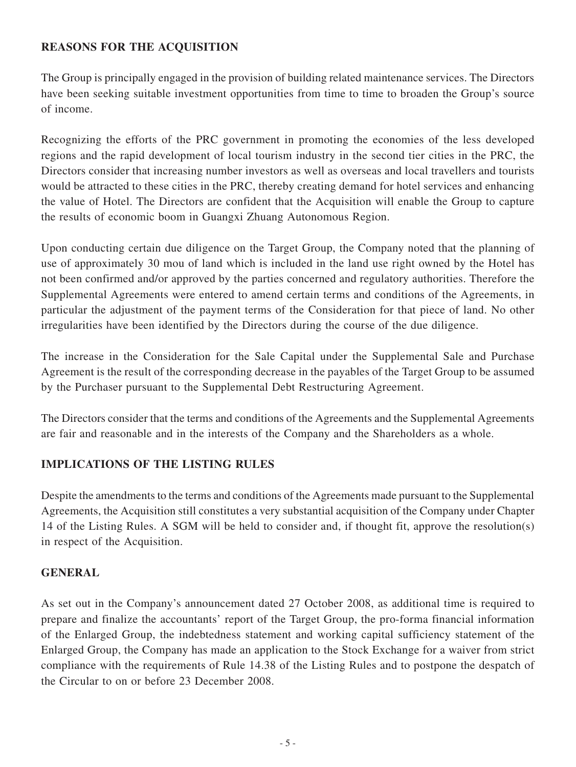#### **REASONS FOR THE ACQUISITION**

The Group is principally engaged in the provision of building related maintenance services. The Directors have been seeking suitable investment opportunities from time to time to broaden the Group's source of income.

Recognizing the efforts of the PRC government in promoting the economies of the less developed regions and the rapid development of local tourism industry in the second tier cities in the PRC, the Directors consider that increasing number investors as well as overseas and local travellers and tourists would be attracted to these cities in the PRC, thereby creating demand for hotel services and enhancing the value of Hotel. The Directors are confident that the Acquisition will enable the Group to capture the results of economic boom in Guangxi Zhuang Autonomous Region.

Upon conducting certain due diligence on the Target Group, the Company noted that the planning of use of approximately 30 mou of land which is included in the land use right owned by the Hotel has not been confirmed and/or approved by the parties concerned and regulatory authorities. Therefore the Supplemental Agreements were entered to amend certain terms and conditions of the Agreements, in particular the adjustment of the payment terms of the Consideration for that piece of land. No other irregularities have been identified by the Directors during the course of the due diligence.

The increase in the Consideration for the Sale Capital under the Supplemental Sale and Purchase Agreement is the result of the corresponding decrease in the payables of the Target Group to be assumed by the Purchaser pursuant to the Supplemental Debt Restructuring Agreement.

The Directors consider that the terms and conditions of the Agreements and the Supplemental Agreements are fair and reasonable and in the interests of the Company and the Shareholders as a whole.

#### **IMPLICATIONS OF THE LISTING RULES**

Despite the amendments to the terms and conditions of the Agreements made pursuant to the Supplemental Agreements, the Acquisition still constitutes a very substantial acquisition of the Company under Chapter 14 of the Listing Rules. A SGM will be held to consider and, if thought fit, approve the resolution(s) in respect of the Acquisition.

#### **GENERAL**

As set out in the Company's announcement dated 27 October 2008, as additional time is required to prepare and finalize the accountants' report of the Target Group, the pro-forma financial information of the Enlarged Group, the indebtedness statement and working capital sufficiency statement of the Enlarged Group, the Company has made an application to the Stock Exchange for a waiver from strict compliance with the requirements of Rule 14.38 of the Listing Rules and to postpone the despatch of the Circular to on or before 23 December 2008.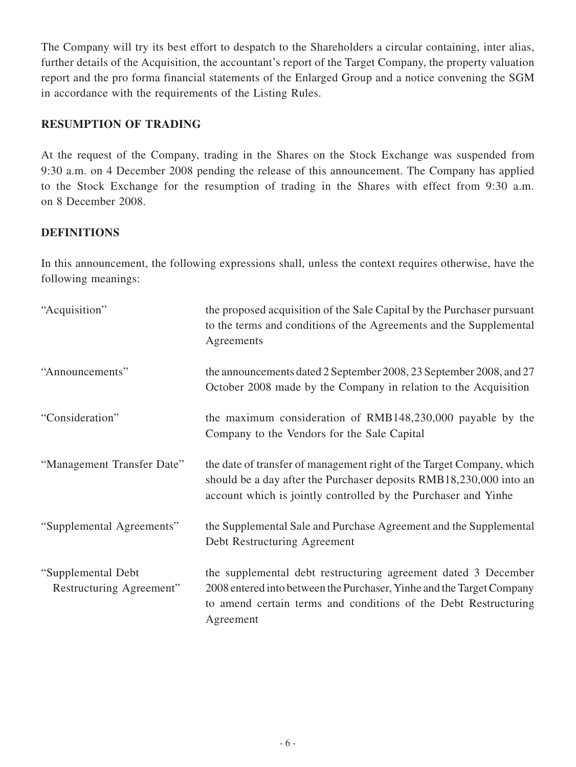The Company will try its best effort to despatch to the Shareholders a circular containing, inter alias, further details of the Acquisition, the accountant's report of the Target Company, the property valuation report and the pro forma financial statements of the Enlarged Group and a notice convening the SGM in accordance with the requirements of the Listing Rules.

#### **RESUMPTION OF TRADING**

At the request of the Company, trading in the Shares on the Stock Exchange was suspended from 9:30 a.m. on 4 December 2008 pending the release of this announcement. The Company has applied to the Stock Exchange for the resumption of trading in the Shares with effect from 9:30 a.m. on 8 December 2008.

## **DEFINITIONS**

In this announcement, the following expressions shall, unless the context requires otherwise, have the following meanings:

| "Acquisition"                                  | the proposed acquisition of the Sale Capital by the Purchaser pursuant<br>to the terms and conditions of the Agreements and the Supplemental<br>Agreements                                                              |
|------------------------------------------------|-------------------------------------------------------------------------------------------------------------------------------------------------------------------------------------------------------------------------|
| "Announcements"                                | the announcements dated 2 September 2008, 23 September 2008, and 27<br>October 2008 made by the Company in relation to the Acquisition                                                                                  |
| "Consideration"                                | the maximum consideration of RMB148,230,000 payable by the<br>Company to the Vendors for the Sale Capital                                                                                                               |
| "Management Transfer Date"                     | the date of transfer of management right of the Target Company, which<br>should be a day after the Purchaser deposits RMB18,230,000 into an<br>account which is jointly controlled by the Purchaser and Yinhe           |
| "Supplemental Agreements"                      | the Supplemental Sale and Purchase Agreement and the Supplemental<br>Debt Restructuring Agreement                                                                                                                       |
| "Supplemental Debt<br>Restructuring Agreement" | the supplemental debt restructuring agreement dated 3 December<br>2008 entered into between the Purchaser, Yinhe and the Target Company<br>to amend certain terms and conditions of the Debt Restructuring<br>Agreement |